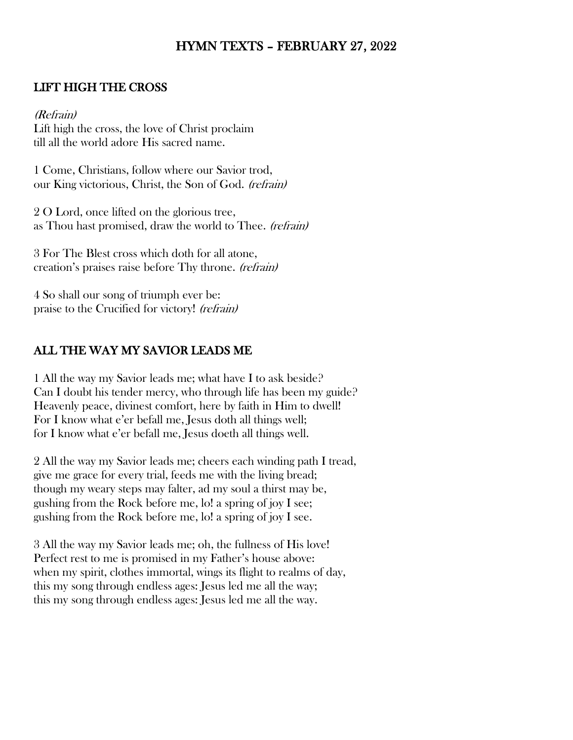# HYMN TEXTS – FEBRUARY 27, 2022

#### LIFT HIGH THE CROSS

(Refrain) Lift high the cross, the love of Christ proclaim till all the world adore His sacred name.

1 Come, Christians, follow where our Savior trod, our King victorious, Christ, the Son of God. (refrain)

2 O Lord, once lifted on the glorious tree, as Thou hast promised, draw the world to Thee. (refrain)

3 For The Blest cross which doth for all atone, creation's praises raise before Thy throne. (refrain)

4 So shall our song of triumph ever be: praise to the Crucified for victory! (refrain)

### ALL THE WAY MY SAVIOR LEADS ME

1 All the way my Savior leads me; what have I to ask beside? Can I doubt his tender mercy, who through life has been my guide? Heavenly peace, divinest comfort, here by faith in Him to dwell! For I know what e'er befall me, Jesus doth all things well; for I know what e'er befall me, Jesus doeth all things well.

2 All the way my Savior leads me; cheers each winding path I tread, give me grace for every trial, feeds me with the living bread; though my weary steps may falter, ad my soul a thirst may be, gushing from the Rock before me, lo! a spring of joy I see; gushing from the Rock before me, lo! a spring of joy I see.

3 All the way my Savior leads me; oh, the fullness of His love! Perfect rest to me is promised in my Father's house above: when my spirit, clothes immortal, wings its flight to realms of day, this my song through endless ages: Jesus led me all the way; this my song through endless ages: Jesus led me all the way.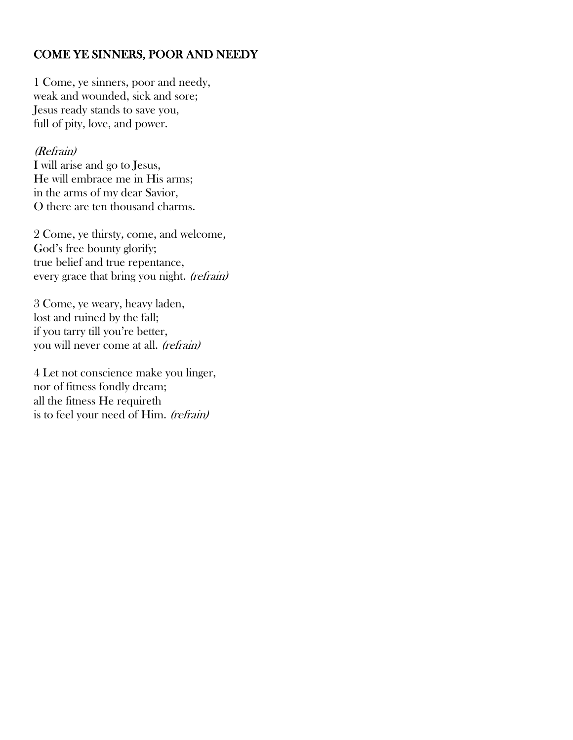# COME YE SINNERS, POOR AND NEEDY

1 Come, ye sinners, poor and needy, weak and wounded, sick and sore; Jesus ready stands to save you, full of pity, love, and power.

#### (Refrain)

I will arise and go to Jesus, He will embrace me in His arms; in the arms of my dear Savior, O there are ten thousand charms.

2 Come, ye thirsty, come, and welcome, God's free bounty glorify; true belief and true repentance, every grace that bring you night. (refrain)

3 Come, ye weary, heavy laden, lost and ruined by the fall; if you tarry till you're better, you will never come at all. (refrain)

4 Let not conscience make you linger, nor of fitness fondly dream; all the fitness He requireth is to feel your need of Him. (refrain)